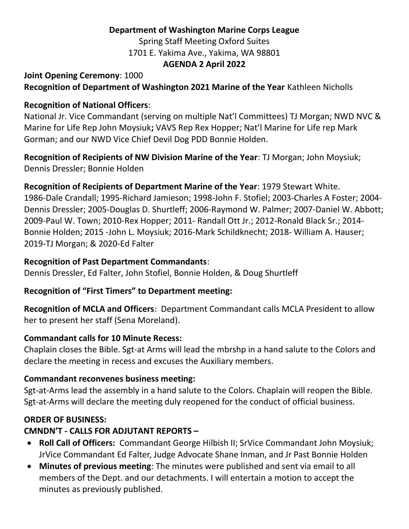### Department of Washington Marine Corps League

Spring Staff Meeting Oxford Suites

1701 E. Yakima Ave., Yakima, WA 98801

#### AGENDA 2 April 2022

### Joint Opening Ceremony: 1000

Recognition of Department of Washington 2021 Marine of the Year Kathleen Nicholls

### Recognition of National Officers:

National Jr. Vice Commandant (serving on multiple Nat'l Committees) TJ Morgan; NWD NVC & Marine for Life Rep John Moysiuk; VAVS Rep Rex Hopper; Nat'l Marine for Life rep Mark Gorman; and our NWD Vice Chief Devil Dog PDD Bonnie Holden.

Recognition of Recipients of NW Division Marine of the Year: TJ Morgan; John Moysiuk; Dennis Dressler; Bonnie Holden

### Recognition of Recipients of Department Marine of the Year: 1979 Stewart White.

1986-Dale Crandall; 1995-Richard Jamieson; 1998-John F. Stofiel; 2003-Charles A Foster; 2004- Dennis Dressler; 2005-Douglas D. Shurtleff; 2006-Raymond W. Palmer; 2007-Daniel W. Abbott; 2009-Paul W. Town; 2010-Rex Hopper; 2011- Randall Ott Jr.; 2012-Ronald Black Sr.; 2014- Bonnie Holden; 2015 -John L. Moysiuk; 2016-Mark Schildknecht; 2018- William A. Hauser; 2019-TJ Morgan; & 2020-Ed Falter

### Recognition of Past Department Commandants:

Dennis Dressler, Ed Falter, John Stofiel, Bonnie Holden, & Doug Shurtleff

### Recognition of "First Timers" to Department meeting:

Recognition of MCLA and Officers: Department Commandant calls MCLA President to allow her to present her staff (Sena Moreland).

### Commandant calls for 10 Minute Recess:

Chaplain closes the Bible. Sgt-at Arms will lead the mbrshp in a hand salute to the Colors and declare the meeting in recess and excuses the Auxiliary members.

### Commandant reconvenes business meeting:

Sgt-at-Arms lead the assembly in a hand salute to the Colors. Chaplain will reopen the Bible. Sgt-at-Arms will declare the meeting duly reopened for the conduct of official business.

## ORDER OF BUSINESS:

## CMNDN'T - CALLS FOR ADJUTANT REPORTS –

- Roll Call of Officers: Commandant George Hilbish II; SrVice Commandant John Moysiuk; JrVice Commandant Ed Falter, Judge Advocate Shane Inman, and Jr Past Bonnie Holden
- Minutes of previous meeting: The minutes were published and sent via email to all members of the Dept. and our detachments. I will entertain a motion to accept the minutes as previously published.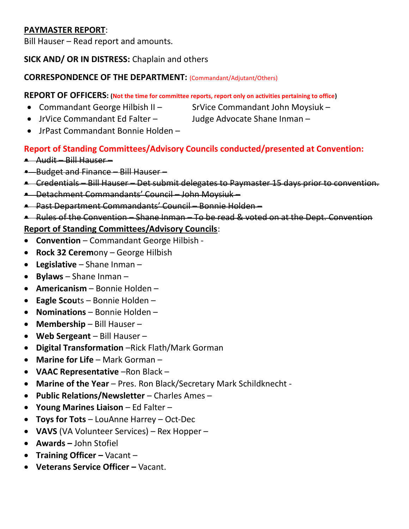### PAYMASTER REPORT:

Bill Hauser – Read report and amounts.

## SICK AND/ OR IN DISTRESS: Chaplain and others

## CORRESPONDENCE OF THE DEPARTMENT: (Commandant/Adjutant/Others)

## REPORT OF OFFICERS: (Not the time for committee reports, report only on activities pertaining to office)

- Commandant George Hilbish II SrVice Commandant John Moysiuk
	- JrVice Commandant Ed Falter Judge Advocate Shane Inman –
	- IrPast Commandant Bonnie Holden –

# Report of Standing Committees/Advisory Councils conducted/presented at Convention:

- Audit Bill Hauser –
- Budget and Finance Bill Hauser –
- Credentials Bill Hauser Det submit delegates to Paymaster 15 days prior to convention.
- Detachment Commandants' Council John Moysiuk –
- Past Department Commandants' Council Bonnie Holden –
- Rules of the Convention Shane Inman To be read & voted on at the Dept. Convention

# Report of Standing Committees/Advisory Councils:

- Convention Commandant George Hilbish -
- Rock 32 Ceremony George Hilbish
- Legislative Shane Inman –
- $\bullet$  Bylaws Shane Inman –
- Americanism Bonnie Holden –
- $\bullet$  Eagle Scouts Bonnie Holden –
- Nominations Bonnie Holden –
- $\bullet$  Membership Bill Hauser –
- Web Sergeant Bill Hauser –
- Digital Transformation –Rick Flath/Mark Gorman
- Marine for Life Mark Gorman –
- VAAC Representative –Ron Black –
- Marine of the Year Pres. Ron Black/Secretary Mark Schildknecht -
- Public Relations/Newsletter Charles Ames –
- Young Marines Liaison Ed Falter –
- Toys for Tots LouAnne Harrey Oct-Dec
- VAVS (VA Volunteer Services) Rex Hopper –
- Awards John Stofiel
- Training Officer Vacant –
- Veterans Service Officer Vacant.
- 
-